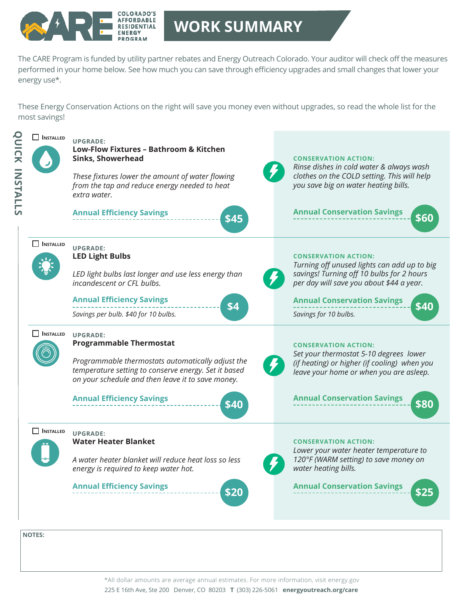

## **WORK SUMMARY**

The CARE Program is funded by utility partner rebates and Energy Outreach Colorado. Your auditor will check off the measures performed in your home below. See how much you can save through efficiency upgrades and small changes that lower your energy use\*.

These Energy Conservation Actions on the right will save you money even without upgrades, so read the whole list for the most savings!



225 E 16th Ave, Ste 200 Denver, CO 80203 **T** (303) 226-5061 **energyoutreach.org/care** \*All dollar amounts are average annual estimates. For more information, visit energy.gov